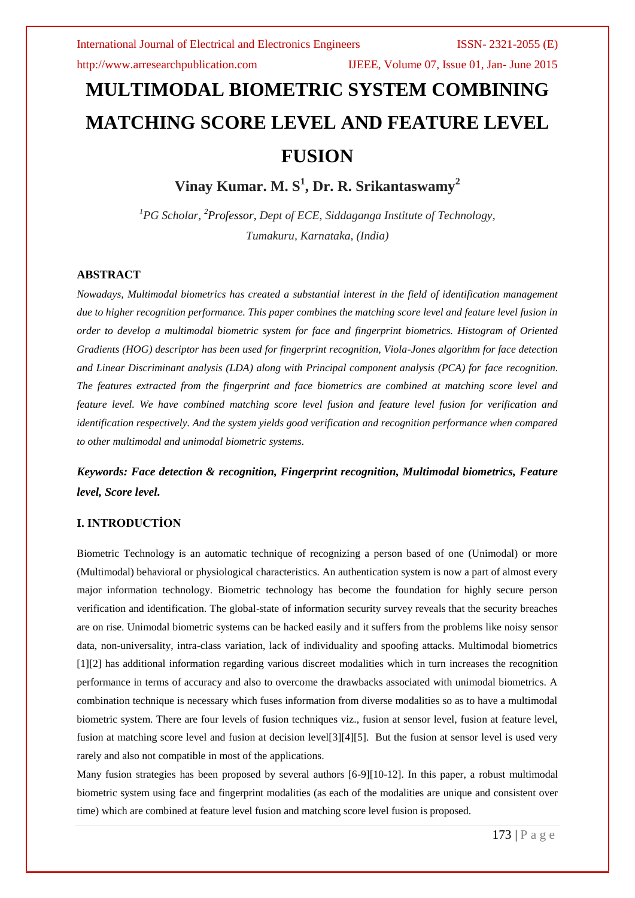http://www.arresearchpublication.com IJEEE, Volume 07, Issue 01, Jan- June 2015

# **MULTIMODAL BIOMETRIC SYSTEM COMBINING MATCHING SCORE LEVEL AND FEATURE LEVEL FUSION**

**Vinay Kumar. M. S 1 , Dr. R. Srikantaswamy<sup>2</sup>**

*<sup>1</sup>PG Scholar, <sup>2</sup>Professor, Dept of ECE, Siddaganga Institute of Technology, Tumakuru, Karnataka, (India)*

### **ABSTRACT**

*Nowadays, Multimodal biometrics has created a substantial interest in the field of identification management due to higher recognition performance. This paper combines the matching score level and feature level fusion in order to develop a multimodal biometric system for face and fingerprint biometrics. Histogram of Oriented Gradients (HOG) descriptor has been used for fingerprint recognition, Viola-Jones algorithm for face detection and Linear Discriminant analysis (LDA) along with Principal component analysis (PCA) for face recognition. The features extracted from the fingerprint and face biometrics are combined at matching score level and feature level. We have combined matching score level fusion and feature level fusion for verification and identification respectively. And the system yields good verification and recognition performance when compared to other multimodal and unimodal biometric systems.*

*Keywords: Face detection & recognition, Fingerprint recognition, Multimodal biometrics, Feature level, Score level.*

# **I. INTRODUCTİON**

Biometric Technology is an automatic technique of recognizing a person based of one (Unimodal) or more (Multimodal) behavioral or physiological characteristics. An authentication system is now a part of almost every major information technology. Biometric technology has become the foundation for highly secure person verification and identification. The global-state of information security survey reveals that the security breaches are on rise. Unimodal biometric systems can be hacked easily and it suffers from the problems like noisy sensor data, non-universality, intra-class variation, lack of individuality and spoofing attacks. Multimodal biometrics [1][2] has additional information regarding various discreet modalities which in turn increases the recognition performance in terms of accuracy and also to overcome the drawbacks associated with unimodal biometrics. A combination technique is necessary which fuses information from diverse modalities so as to have a multimodal biometric system. There are four levels of fusion techniques viz., fusion at sensor level, fusion at feature level, fusion at matching score level and fusion at decision level[3][4][5]. But the fusion at sensor level is used very rarely and also not compatible in most of the applications.

Many fusion strategies has been proposed by several authors [6-9][10-12]. In this paper, a robust multimodal biometric system using face and fingerprint modalities (as each of the modalities are unique and consistent over time) which are combined at feature level fusion and matching score level fusion is proposed.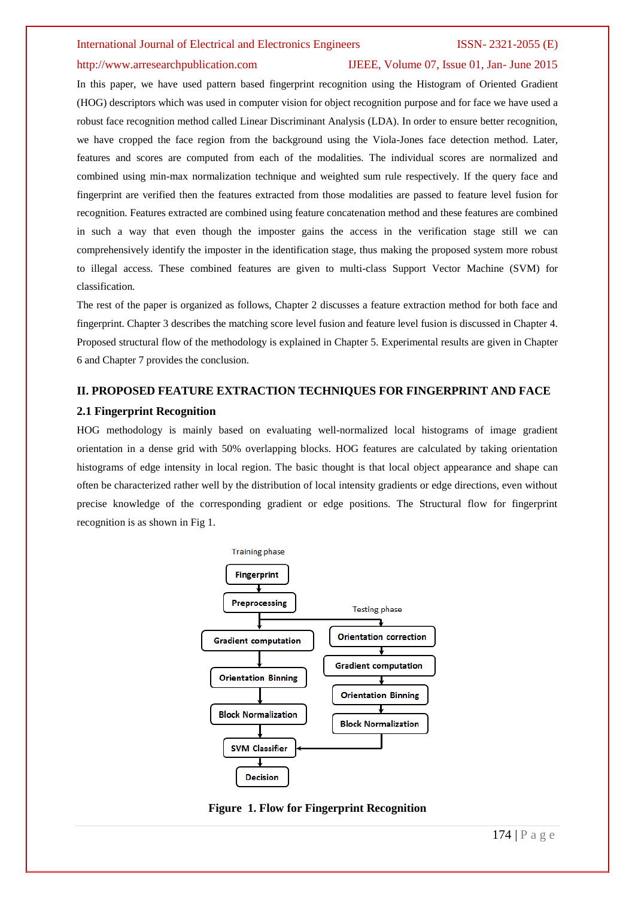### http://www.arresearchpublication.com IJEEE, Volume 07, Issue 01, Jan- June 2015

In this paper, we have used pattern based fingerprint recognition using the Histogram of Oriented Gradient (HOG) descriptors which was used in computer vision for object recognition purpose and for face we have used a robust face recognition method called Linear Discriminant Analysis (LDA). In order to ensure better recognition, we have cropped the face region from the background using the Viola-Jones face detection method. Later, features and scores are computed from each of the modalities. The individual scores are normalized and combined using min-max normalization technique and weighted sum rule respectively. If the query face and fingerprint are verified then the features extracted from those modalities are passed to feature level fusion for recognition. Features extracted are combined using feature concatenation method and these features are combined in such a way that even though the imposter gains the access in the verification stage still we can comprehensively identify the imposter in the identification stage, thus making the proposed system more robust to illegal access. These combined features are given to multi-class Support Vector Machine (SVM) for classification.

The rest of the paper is organized as follows, Chapter 2 discusses a feature extraction method for both face and fingerprint. Chapter 3 describes the matching score level fusion and feature level fusion is discussed in Chapter 4. Proposed structural flow of the methodology is explained in Chapter 5. Experimental results are given in Chapter 6 and Chapter 7 provides the conclusion.

# **II. PROPOSED FEATURE EXTRACTION TECHNIQUES FOR FINGERPRINT AND FACE 2.1 Fingerprint Recognition**

HOG methodology is mainly based on evaluating well-normalized local histograms of image gradient orientation in a dense grid with 50% overlapping blocks. HOG features are calculated by taking orientation histograms of edge intensity in local region. The basic thought is that local object appearance and shape can often be characterized rather well by the distribution of local intensity gradients or edge directions, even without precise knowledge of the corresponding gradient or edge positions. The Structural flow for fingerprint recognition is as shown in Fig 1.



**Figure 1. Flow for Fingerprint Recognition**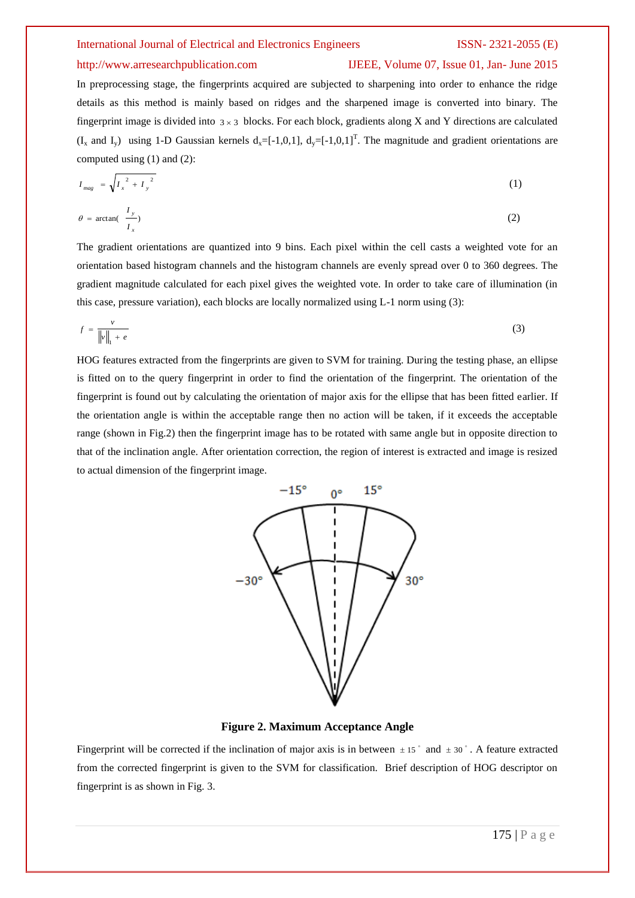#### http://www.arresearchpublication.com IJEEE, Volume 07, Issue 01, Jan- June 2015

In preprocessing stage, the fingerprints acquired are subjected to sharpening into order to enhance the ridge details as this method is mainly based on ridges and the sharpened image is converted into binary. The fingerprint image is divided into  $3 \times 3$  blocks. For each block, gradients along X and Y directions are calculated  $(I_x$  and  $I_y$ ) using 1-D Gaussian kernels  $d_x=[-1,0,1]$ ,  $d_y=[-1,0,1]^T$ . The magnitude and gradient orientations are computed using (1) and (2):

$$
I_{mag} = \sqrt{I_x^2 + I_y^2} \tag{1}
$$

$$
\theta = \arctan(\frac{I_y}{I_x})
$$
 (2)

The gradient orientations are quantized into 9 bins. Each pixel within the cell casts a weighted vote for an orientation based histogram channels and the histogram channels are evenly spread over 0 to 360 degrees. The gradient magnitude calculated for each pixel gives the weighted vote. In order to take care of illumination (in this case, pressure variation), each blocks are locally normalized using L-1 norm using (3):

$$
f = \frac{v}{\|v\|_1 + e} \tag{3}
$$

HOG features extracted from the fingerprints are given to SVM for training. During the testing phase, an ellipse is fitted on to the query fingerprint in order to find the orientation of the fingerprint. The orientation of the fingerprint is found out by calculating the orientation of major axis for the ellipse that has been fitted earlier. If the orientation angle is within the acceptable range then no action will be taken, if it exceeds the acceptable range (shown in Fig.2) then the fingerprint image has to be rotated with same angle but in opposite direction to that of the inclination angle. After orientation correction, the region of interest is extracted and image is resized to actual dimension of the fingerprint image.



**Figure 2. Maximum Acceptance Angle**

Fingerprint will be corrected if the inclination of major axis is in between  $\pm 15$ ° and  $\pm 30$ °. A feature extracted from the corrected fingerprint is given to the SVM for classification. Brief description of HOG descriptor on fingerprint is as shown in Fig. 3.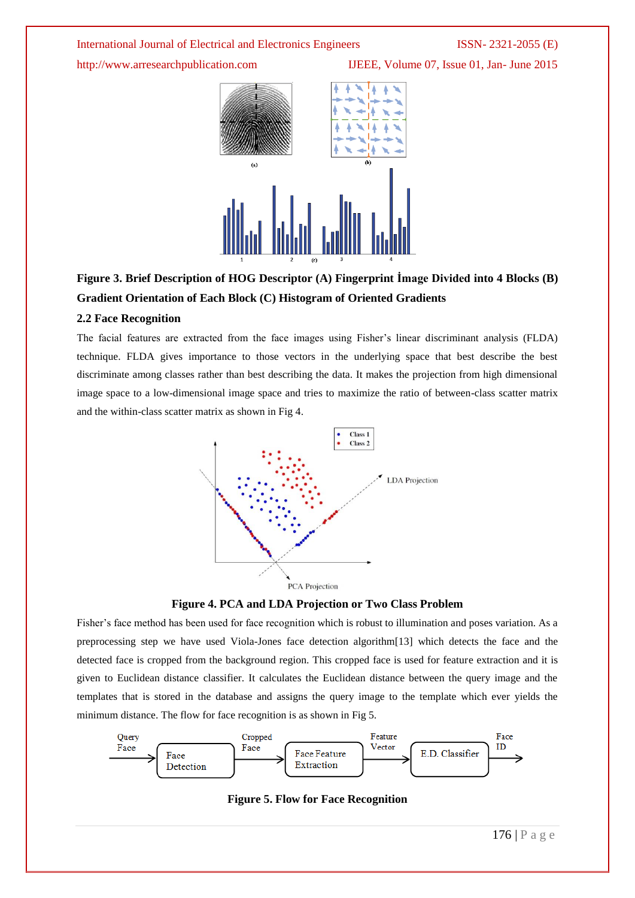http://www.arresearchpublication.com IJEEE, Volume 07, Issue 01, Jan- June 2015



# **Figure 3. Brief Description of HOG Descriptor (A) Fingerprint İmage Divided into 4 Blocks (B) Gradient Orientation of Each Block (C) Histogram of Oriented Gradients**

### **2.2 Face Recognition**

The facial features are extracted from the face images using Fisher's linear discriminant analysis (FLDA) technique. FLDA gives importance to those vectors in the underlying space that best describe the best discriminate among classes rather than best describing the data. It makes the projection from high dimensional image space to a low-dimensional image space and tries to maximize the ratio of between-class scatter matrix and the within-class scatter matrix as shown in Fig 4.



**Figure 4. PCA and LDA Projection or Two Class Problem**

Fisher's face method has been used for face recognition which is robust to illumination and poses variation. As a preprocessing step we have used Viola-Jones face detection algorithm[13] which detects the face and the detected face is cropped from the background region. This cropped face is used for feature extraction and it is given to Euclidean distance classifier. It calculates the Euclidean distance between the query image and the templates that is stored in the database and assigns the query image to the template which ever yields the minimum distance. The flow for face recognition is as shown in Fig 5.



**Figure 5. Flow for Face Recognition**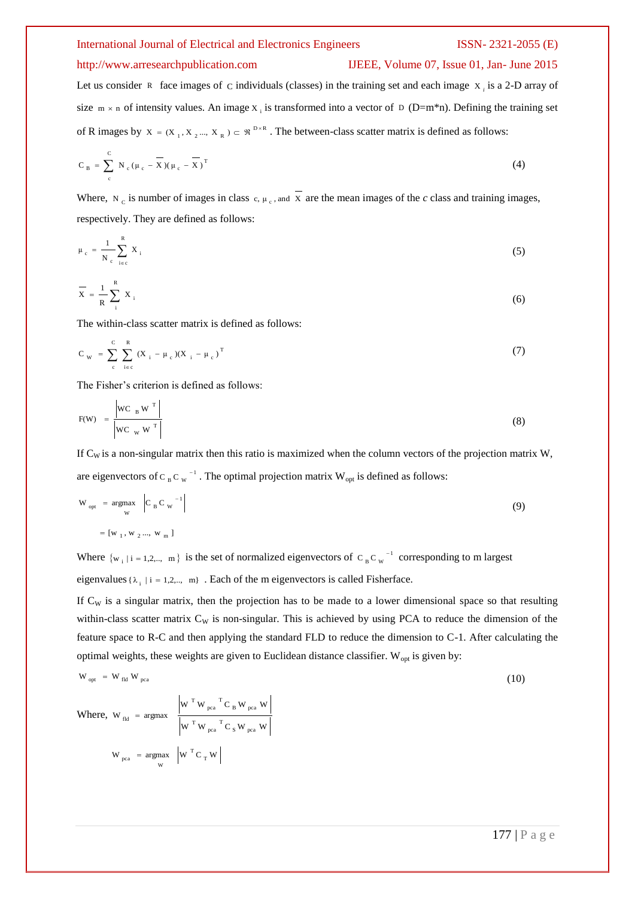### http://www.arresearchpublication.com IJEEE, Volume 07, Issue 01, Jan- June 2015

Let us consider  $\bf{R}$  face images of  $\bf{C}$  individuals (classes) in the training set and each image  $\bf{x}$ <sub>i</sub> is a 2-D array of size  $m \times n$  of intensity values. An image  $x_i$  is transformed into a vector of  $D(D=m*n)$ . Defining the training set of R images by  $X = (X_1, X_2, ..., X_R) \subset \Re^{D \times R}$ . The between-class scatter matrix is defined as follows:

$$
C_B = \sum_c^C N_c (\mu_c - \overline{X})(\mu_c - \overline{X})^T
$$
 (4)

Where,  $N_c$  is number of images in class  $c, \mu_c$ , and  $X$  are the mean images of the  $c$  class and training images, respectively. They are defined as follows:

$$
\mu_c = \frac{1}{N_c} \sum_{i \in c}^{R} X_i \tag{5}
$$

$$
\overline{X} = \frac{1}{R} \sum_{i=1}^{R} X_i
$$
 (6)

The within-class scatter matrix is defined as follows:

$$
C_{w} = \sum_{c}^{C} \sum_{i \in c}^{R} (X_{i} - \mu_{c})(X_{i} - \mu_{c})^{T}
$$
 (7)

The Fisher's criterion is defined as follows:

 $W_{\text{pca}} = \text{argmax} \quad W^{\text{T}} C_{\text{T}} W$ 

 $_{\text{pca}}$  =  $\underset{\text{w}}{\text{argmax}}$ 

$$
F(W) = \frac{\left| WC_{B} W^{T} \right|}{\left| WC_{W} W^{T} \right|}
$$
\n(8)

If  $C_W$  is a non-singular matrix then this ratio is maximized when the column vectors of the projection matrix W, are eigenvectors of C<sub>B</sub>C<sub>W</sub><sup>-1</sup>. The optimal projection matrix W<sub>opt</sub> is defined as follows:

$$
W_{opt} = \underset{W}{\text{argmax}} \left| C_B C_W^{-1} \right|
$$
\n
$$
= [w_1, w_2 \dots, w_m]
$$
\n(9)

Where  $\{w_i | i = 1,2,..., m\}$  is the set of normalized eigenvectors of  $C_B C_W^{-1}$  corresponding to m largest eigenvalues { $\lambda_i$  | i = 1,2,.., m}. Each of the m eigenvectors is called Fisherface.

If  $C_W$  is a singular matrix, then the projection has to be made to a lower dimensional space so that resulting within-class scatter matrix  $C_W$  is non-singular. This is achieved by using PCA to reduce the dimension of the feature space to R-C and then applying the standard FLD to reduce the dimension to C-1. After calculating the optimal weights, these weights are given to Euclidean distance classifier.  $W_{opt}$  is given by:

$$
W_{opt} = W_{fid} W_{pca}
$$
\n(10)\n
$$
W_{hel} = \text{argmax} \frac{\left| W^T W_{pca}^T C_B W_{pca} W \right|}{\left| W^T W_{pca}^T C_S W_{pca} W \right|}
$$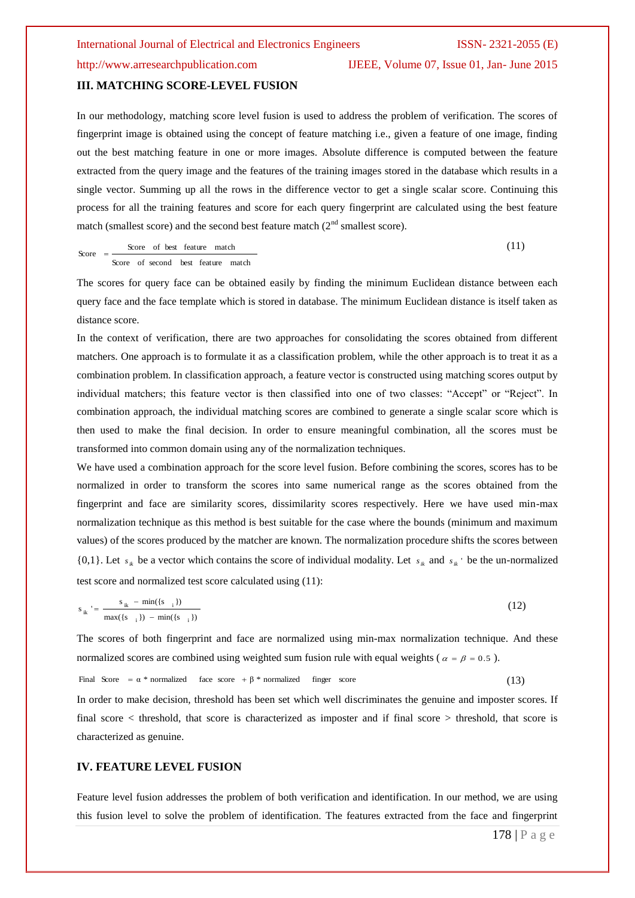#### **III. MATCHING SCORE-LEVEL FUSION**

In our methodology, matching score level fusion is used to address the problem of verification. The scores of fingerprint image is obtained using the concept of feature matching i.e., given a feature of one image, finding out the best matching feature in one or more images. Absolute difference is computed between the feature extracted from the query image and the features of the training images stored in the database which results in a single vector. Summing up all the rows in the difference vector to get a single scalar score. Continuing this process for all the training features and score for each query fingerprint are calculated using the best feature match (smallest score) and the second best feature match  $(2<sup>nd</sup>$  smallest score).

$$
Score = \frac{Score \space of best feature match}{Score \space of second best feature match} \tag{11}
$$

The scores for query face can be obtained easily by finding the minimum Euclidean distance between each query face and the face template which is stored in database. The minimum Euclidean distance is itself taken as distance score.

In the context of verification, there are two approaches for consolidating the scores obtained from different matchers. One approach is to formulate it as a classification problem, while the other approach is to treat it as a combination problem. In classification approach, a feature vector is constructed using matching scores output by individual matchers; this feature vector is then classified into one of two classes: "Accept" or "Reject". In combination approach, the individual matching scores are combined to generate a single scalar score which is then used to make the final decision. In order to ensure meaningful combination, all the scores must be transformed into common domain using any of the normalization techniques.

We have used a combination approach for the score level fusion. Before combining the scores, scores has to be normalized in order to transform the scores into same numerical range as the scores obtained from the fingerprint and face are similarity scores, dissimilarity scores respectively. Here we have used min-max normalization technique as this method is best suitable for the case where the bounds (minimum and maximum values) of the scores produced by the matcher are known. The normalization procedure shifts the scores between {0,1}. Let  $s_{ik}$  be a vector which contains the score of individual modality. Let  $s_{ik}$  and  $s_{ik}$  be the un-normalized test score and normalized test score calculated using (11):

$$
s_{ik} = \frac{s_{ik} - \min(\{s_{i}\})}{\max(\{s_{i}\}) - \min(\{s_{i}\})}
$$
(12)

The scores of both fingerprint and face are normalized using min-max normalization technique. And these normalized scores are combined using weighted sum fusion rule with equal weights ( $\alpha = \beta = 0.5$ ).

Final Score =  $\alpha$  \* normalized face score +  $\beta$  \* normalized finger score (13)

In order to make decision, threshold has been set which well discriminates the genuine and imposter scores. If final score < threshold, that score is characterized as imposter and if final score > threshold, that score is characterized as genuine.

## **IV. FEATURE LEVEL FUSION**

Feature level fusion addresses the problem of both verification and identification. In our method, we are using this fusion level to solve the problem of identification. The features extracted from the face and fingerprint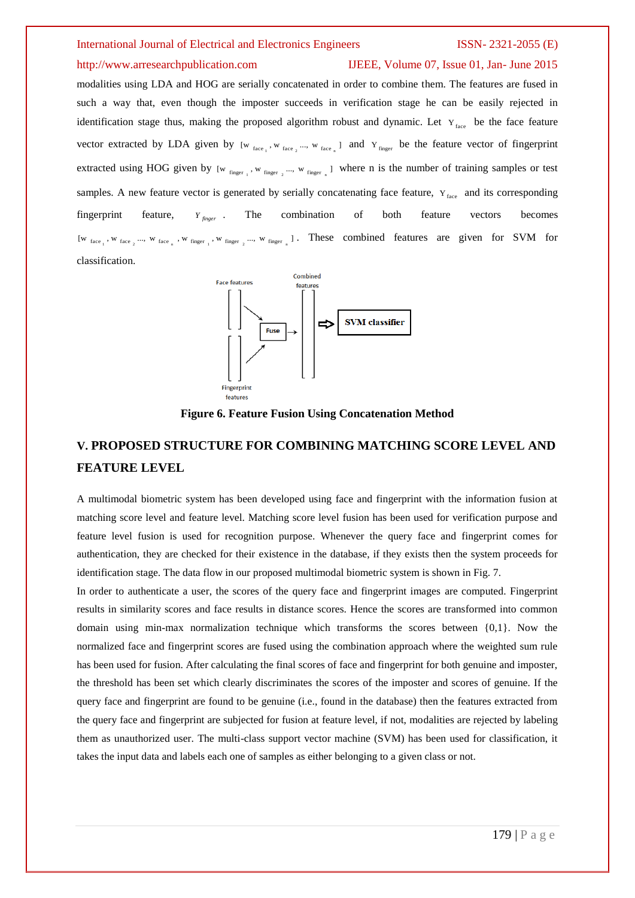### http://www.arresearchpublication.com IJEEE, Volume 07, Issue 01, Jan- June 2015

modalities using LDA and HOG are serially concatenated in order to combine them. The features are fused in such a way that, even though the imposter succeeds in verification stage he can be easily rejected in identification stage thus, making the proposed algorithm robust and dynamic. Let  $Y_{face}$  be the face feature vector extracted by LDA given by  $[w_{face_1}, w_{face_2}, ..., w_{face_n}]$  and  $Y_{finger}$  be the feature vector of fingerprint extracted using HOG given by [w  $_{finger_1}$ , w  $_{finger_2}$  ..., w  $_{finger_n}$ ] where n is the number of training samples or test samples. A new feature vector is generated by serially concatenating face feature,  $Y_{face}$  and its corresponding fingerprint feature,  $Y_{finger}$  *The* combination of both feature vectors becomes  $[w_{face_1}, w_{face_2}, ..., w_{face_n}, w_{finger_1}, w_{finger_2}, ..., w_{finger_n}]$ . These combined features are given for SVM for classification.



**Figure 6. Feature Fusion Using Concatenation Method**

# **V. PROPOSED STRUCTURE FOR COMBINING MATCHING SCORE LEVEL AND FEATURE LEVEL**

A multimodal biometric system has been developed using face and fingerprint with the information fusion at matching score level and feature level. Matching score level fusion has been used for verification purpose and feature level fusion is used for recognition purpose. Whenever the query face and fingerprint comes for authentication, they are checked for their existence in the database, if they exists then the system proceeds for identification stage. The data flow in our proposed multimodal biometric system is shown in Fig. 7.

In order to authenticate a user, the scores of the query face and fingerprint images are computed. Fingerprint results in similarity scores and face results in distance scores. Hence the scores are transformed into common domain using min-max normalization technique which transforms the scores between {0,1}. Now the normalized face and fingerprint scores are fused using the combination approach where the weighted sum rule has been used for fusion. After calculating the final scores of face and fingerprint for both genuine and imposter, the threshold has been set which clearly discriminates the scores of the imposter and scores of genuine. If the query face and fingerprint are found to be genuine (i.e., found in the database) then the features extracted from the query face and fingerprint are subjected for fusion at feature level, if not, modalities are rejected by labeling them as unauthorized user. The multi-class support vector machine (SVM) has been used for classification, it takes the input data and labels each one of samples as either belonging to a given class or not.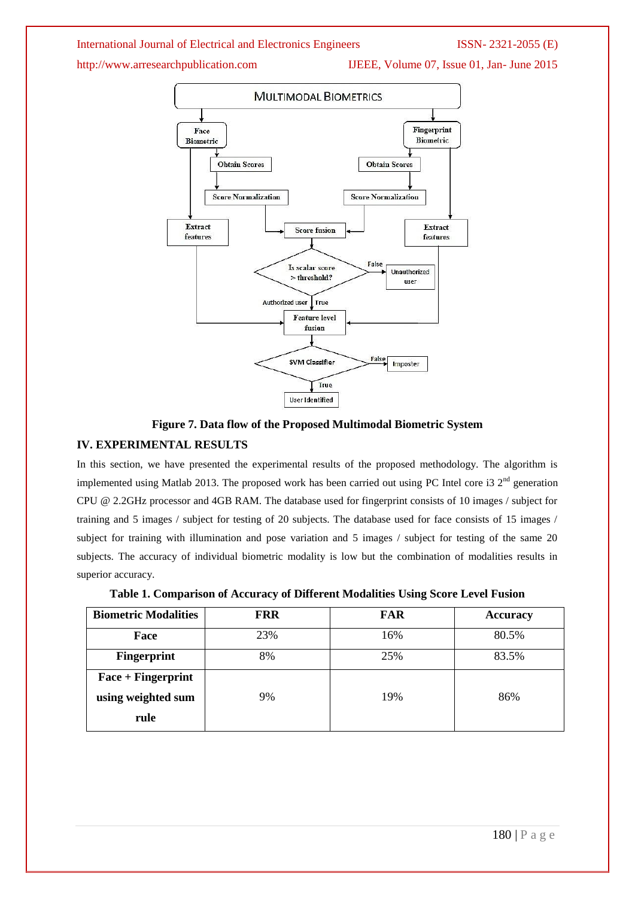http://www.arresearchpublication.com IJEEE, Volume 07, Issue 01, Jan- June 2015



# **Figure 7. Data flow of the Proposed Multimodal Biometric System IV. EXPERIMENTAL RESULTS**

In this section, we have presented the experimental results of the proposed methodology. The algorithm is implemented using Matlab 2013. The proposed work has been carried out using PC Intel core i3  $2<sup>nd</sup>$  generation CPU @ 2.2GHz processor and 4GB RAM. The database used for fingerprint consists of 10 images / subject for training and 5 images / subject for testing of 20 subjects. The database used for face consists of 15 images / subject for training with illumination and pose variation and 5 images / subject for testing of the same 20 subjects. The accuracy of individual biometric modality is low but the combination of modalities results in superior accuracy.

|  | Table 1. Comparison of Accuracy of Different Modalities Using Score Level Fusion |
|--|----------------------------------------------------------------------------------|
|  |                                                                                  |

| <b>Biometric Modalities</b> | <b>FRR</b> | <b>FAR</b> | <b>Accuracy</b> |  |
|-----------------------------|------------|------------|-----------------|--|
| Face                        | 23%        | 16%        | 80.5%           |  |
| Fingerprint                 | 8%         | 25%        | 83.5%           |  |
| $Face + Fingerprint$        |            |            |                 |  |
| using weighted sum          | 9%         | 19%        | 86%             |  |
| rule                        |            |            |                 |  |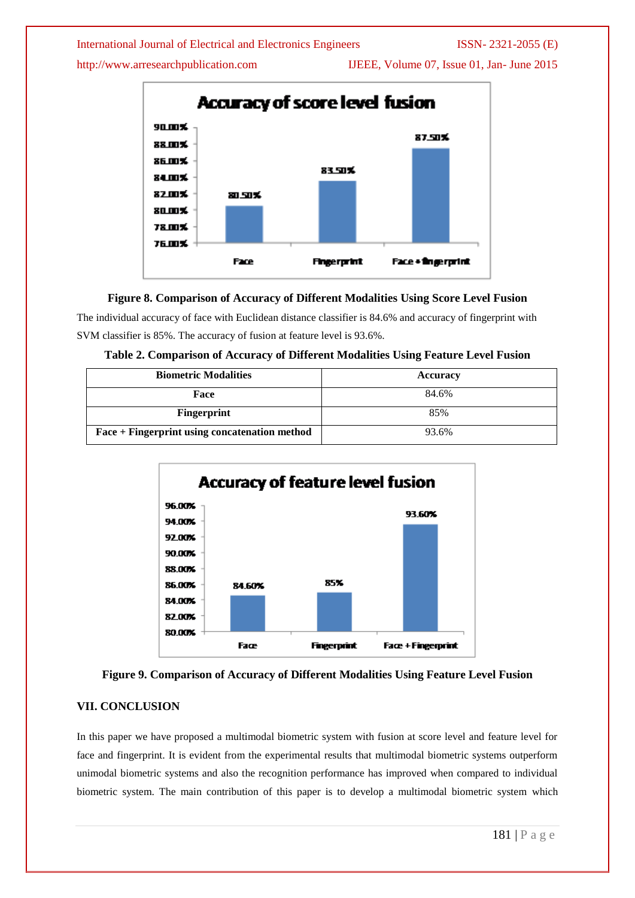http://www.arresearchpublication.com IJEEE, Volume 07, Issue 01, Jan- June 2015



# **Figure 8. Comparison of Accuracy of Different Modalities Using Score Level Fusion**

The individual accuracy of face with Euclidean distance classifier is 84.6% and accuracy of fingerprint with SVM classifier is 85%. The accuracy of fusion at feature level is 93.6%.

| Table 2. Comparison of Accuracy of Different Modalities Using Feature Level Fusion |  |  |  |
|------------------------------------------------------------------------------------|--|--|--|
|                                                                                    |  |  |  |

| <b>Biometric Modalities</b>                   | <b>Accuracy</b> |  |  |
|-----------------------------------------------|-----------------|--|--|
| Face                                          | 84.6%           |  |  |
| <b>Fingerprint</b>                            | 85%             |  |  |
| Face + Fingerprint using concatenation method | 93.6%           |  |  |





### **VII. CONCLUSION**

In this paper we have proposed a multimodal biometric system with fusion at score level and feature level for face and fingerprint. It is evident from the experimental results that multimodal biometric systems outperform unimodal biometric systems and also the recognition performance has improved when compared to individual biometric system. The main contribution of this paper is to develop a multimodal biometric system which